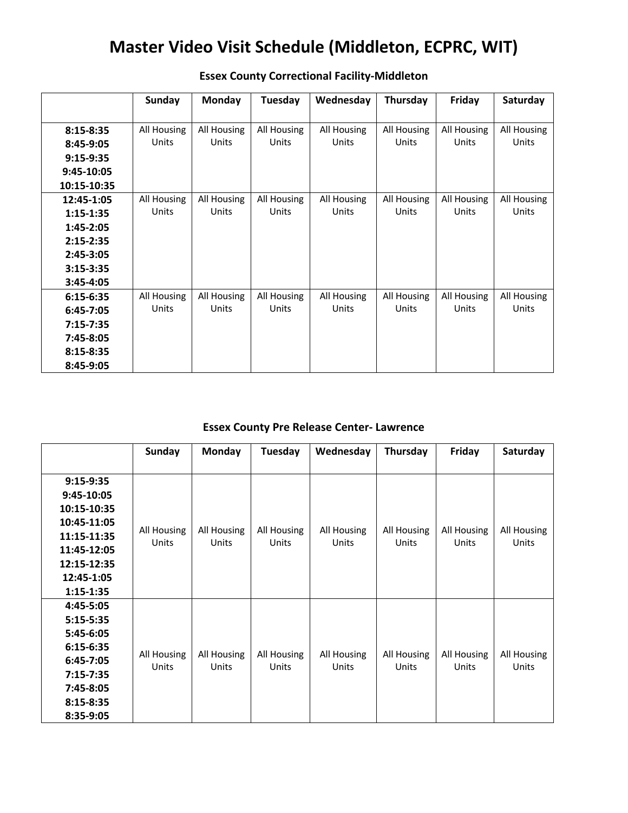## **Master Video Visit Schedule (Middleton, ECPRC, WIT)**

|               | Sunday      | Monday      | Tuesday     | Wednesday   | Thursday    | Friday      | Saturday    |
|---------------|-------------|-------------|-------------|-------------|-------------|-------------|-------------|
|               |             |             |             |             |             |             |             |
| $8:15 - 8:35$ | All Housing | All Housing | All Housing | All Housing | All Housing | All Housing | All Housing |
| 8:45-9:05     | Units       | Units       | Units       | Units       | Units       | Units       | Units       |
| $9:15-9:35$   |             |             |             |             |             |             |             |
| $9:45-10:05$  |             |             |             |             |             |             |             |
| 10:15-10:35   |             |             |             |             |             |             |             |
| 12:45-1:05    | All Housing | All Housing | All Housing | All Housing | All Housing | All Housing | All Housing |
| $1:15 - 1:35$ | Units       | Units       | Units       | Units       | Units       | Units       | Units       |
| 1:45-2:05     |             |             |             |             |             |             |             |
| $2:15 - 2:35$ |             |             |             |             |             |             |             |
| 2:45-3:05     |             |             |             |             |             |             |             |
| $3:15 - 3:35$ |             |             |             |             |             |             |             |
| $3:45-4:05$   |             |             |             |             |             |             |             |
| $6:15-6:35$   | All Housing | All Housing | All Housing | All Housing | All Housing | All Housing | All Housing |
| $6:45 - 7:05$ | Units       | Units       | Units       | Units       | Units       | Units       | Units       |
| $7:15 - 7:35$ |             |             |             |             |             |             |             |
| 7:45-8:05     |             |             |             |             |             |             |             |
| $8:15 - 8:35$ |             |             |             |             |             |             |             |
| 8:45-9:05     |             |             |             |             |             |             |             |

## **Essex County Correctional Facility-Middleton**

## **Essex County Pre Release Center- Lawrence**

|               | Sunday               | <b>Monday</b>               | Tuesday                     | Wednesday            | Thursday             | Friday               | Saturday             |
|---------------|----------------------|-----------------------------|-----------------------------|----------------------|----------------------|----------------------|----------------------|
|               |                      |                             |                             |                      |                      |                      |                      |
| $9:15-9:35$   |                      |                             |                             |                      |                      |                      |                      |
| 9:45-10:05    |                      |                             |                             |                      |                      |                      |                      |
| 10:15-10:35   | All Housing<br>Units | All Housing<br><b>Units</b> | All Housing<br><b>Units</b> | All Housing<br>Units | All Housing<br>Units | All Housing<br>Units | All Housing<br>Units |
| 10:45-11:05   |                      |                             |                             |                      |                      |                      |                      |
| 11:15-11:35   |                      |                             |                             |                      |                      |                      |                      |
| 11:45-12:05   |                      |                             |                             |                      |                      |                      |                      |
| 12:15-12:35   |                      |                             |                             |                      |                      |                      |                      |
| 12:45-1:05    |                      |                             |                             |                      |                      |                      |                      |
| $1:15 - 1:35$ |                      |                             |                             |                      |                      |                      |                      |
| 4:45-5:05     |                      |                             |                             |                      |                      |                      |                      |
| $5:15-5:35$   |                      |                             |                             |                      |                      |                      |                      |
| 5:45-6:05     | All Housing<br>Units | All Housing<br>Units        | All Housing<br>Units        | All Housing<br>Units | All Housing<br>Units | All Housing<br>Units | All Housing<br>Units |
| $6:15-6:35$   |                      |                             |                             |                      |                      |                      |                      |
| $6:45-7:05$   |                      |                             |                             |                      |                      |                      |                      |
| $7:15 - 7:35$ |                      |                             |                             |                      |                      |                      |                      |
| 7:45-8:05     |                      |                             |                             |                      |                      |                      |                      |
| $8:15-8:35$   |                      |                             |                             |                      |                      |                      |                      |
| 8:35-9:05     |                      |                             |                             |                      |                      |                      |                      |